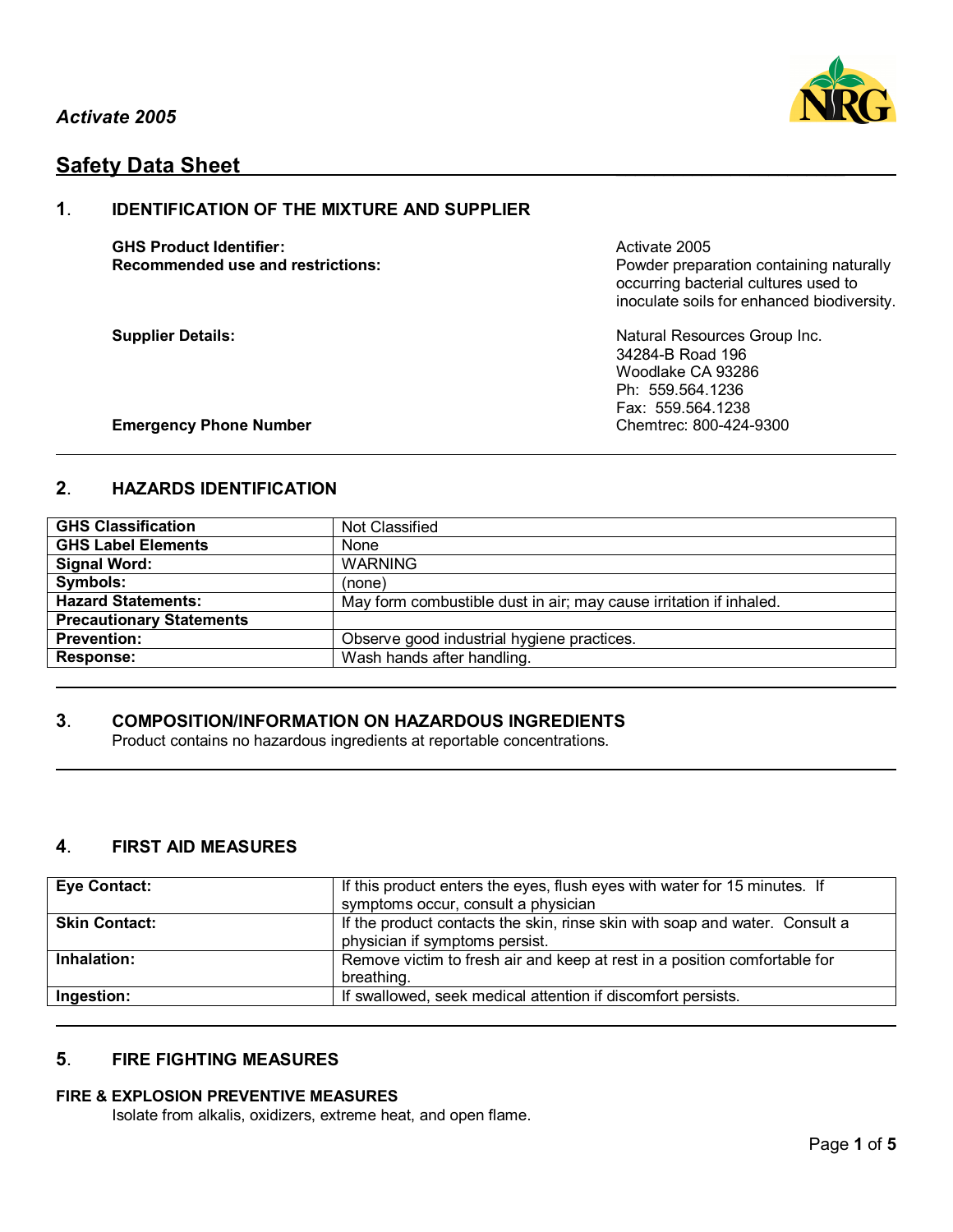

# **Safety Data Sheet**

## **1**. **IDENTIFICATION OF THE MIXTURE AND SUPPLIER**

**GHS Product Identifier:** Activate 2005

**Recommended use and restrictions: Powder preparation containing naturally** occurring bacterial cultures used to inoculate soils for enhanced biodiversity.

**Supplier Details:** Natural Resources Group Inc. 34284-B Road 196 Woodlake CA 93286 Ph: 559.564.1236 Fax: 559.564.1238

### **Emergency Phone Number Chemtrec: 800-424-9300**

## **2**. **HAZARDS IDENTIFICATION**

| <b>GHS Classification</b>       | Not Classified                                                     |  |
|---------------------------------|--------------------------------------------------------------------|--|
| <b>GHS Label Elements</b>       | None                                                               |  |
| <b>Signal Word:</b>             | <b>WARNING</b>                                                     |  |
| Symbols:                        | (none)                                                             |  |
| <b>Hazard Statements:</b>       | May form combustible dust in air; may cause irritation if inhaled. |  |
| <b>Precautionary Statements</b> |                                                                    |  |
| <b>Prevention:</b>              | Observe good industrial hygiene practices.                         |  |
| <b>Response:</b>                | Wash hands after handling.                                         |  |

## **3**. **COMPOSITION/INFORMATION ON HAZARDOUS INGREDIENTS**

Product contains no hazardous ingredients at reportable concentrations.

## **4**. **FIRST AID MEASURES**

| <b>Eye Contact:</b>  | If this product enters the eyes, flush eyes with water for 15 minutes. If<br>symptoms occur, consult a physician |
|----------------------|------------------------------------------------------------------------------------------------------------------|
| <b>Skin Contact:</b> | If the product contacts the skin, rinse skin with soap and water. Consult a<br>physician if symptoms persist.    |
| Inhalation:          | Remove victim to fresh air and keep at rest in a position comfortable for<br>breathing.                          |
| Ingestion:           | If swallowed, seek medical attention if discomfort persists.                                                     |

## **5**. **FIRE FIGHTING MEASURES**

### **FIRE & EXPLOSION PREVENTIVE MEASURES**

Isolate from alkalis, oxidizers, extreme heat, and open flame.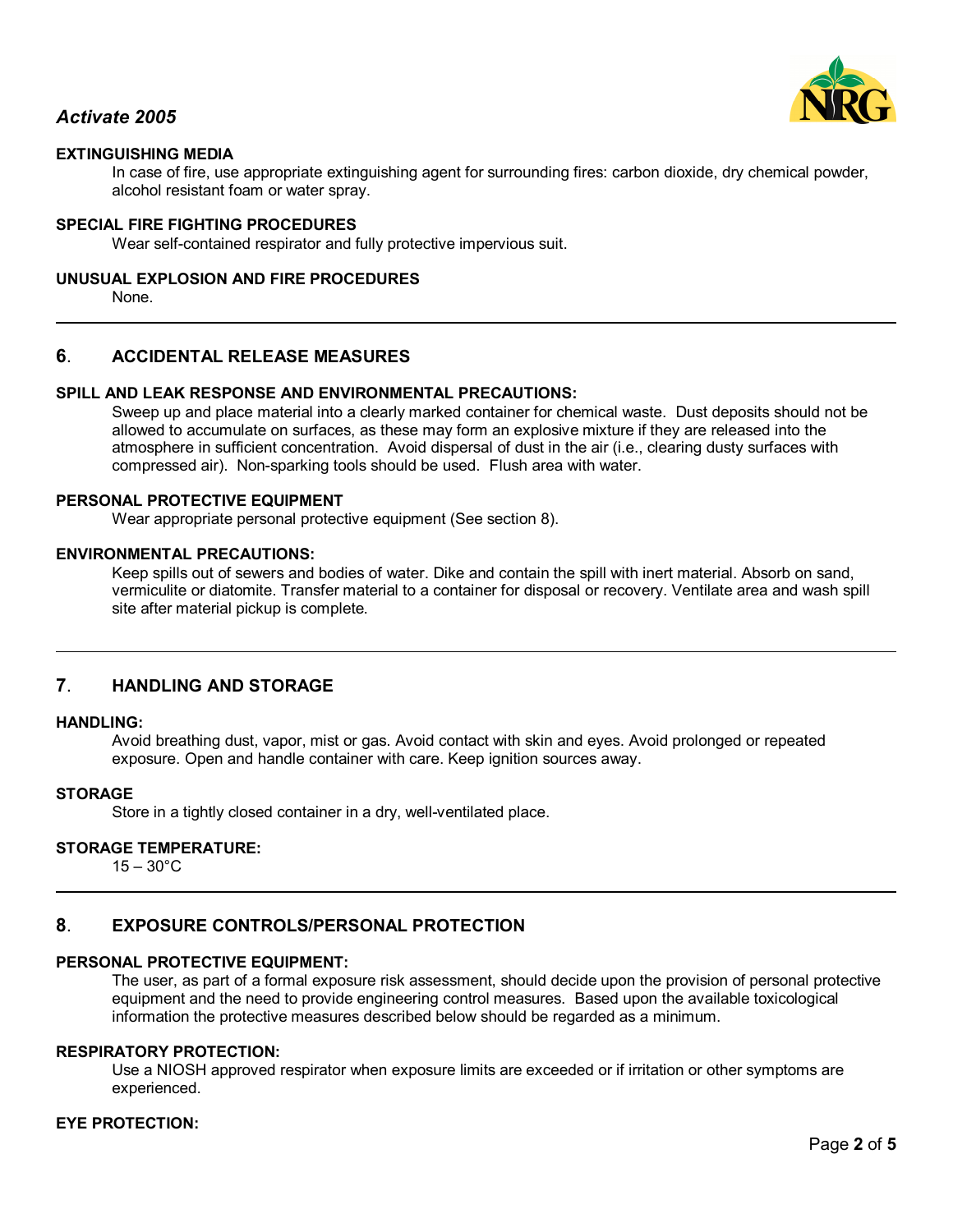

## *Activate 2005*

## **EXTINGUISHING MEDIA**

In case of fire, use appropriate extinguishing agent for surrounding fires: carbon dioxide, dry chemical powder, alcohol resistant foam or water spray.

#### **SPECIAL FIRE FIGHTING PROCEDURES**

Wear self-contained respirator and fully protective impervious suit.

#### **UNUSUAL EXPLOSION AND FIRE PROCEDURES**

None.

### **6**. **ACCIDENTAL RELEASE MEASURES**

### **SPILL AND LEAK RESPONSE AND ENVIRONMENTAL PRECAUTIONS:**

Sweep up and place material into a clearly marked container for chemical waste. Dust deposits should not be allowed to accumulate on surfaces, as these may form an explosive mixture if they are released into the atmosphere in sufficient concentration. Avoid dispersal of dust in the air (i.e., clearing dusty surfaces with compressed air). Non-sparking tools should be used. Flush area with water.

#### **PERSONAL PROTECTIVE EQUIPMENT**

Wear appropriate personal protective equipment (See section 8).

#### **ENVIRONMENTAL PRECAUTIONS:**

Keep spills out of sewers and bodies of water. Dike and contain the spill with inert material. Absorb on sand, vermiculite or diatomite. Transfer material to a container for disposal or recovery. Ventilate area and wash spill site after material pickup is complete.

#### **7**. **HANDLING AND STORAGE**

#### **HANDLING:**

Avoid breathing dust, vapor, mist or gas. Avoid contact with skin and eyes. Avoid prolonged or repeated exposure. Open and handle container with care. Keep ignition sources away.

#### **STORAGE**

Store in a tightly closed container in a dry, well-ventilated place.

### **STORAGE TEMPERATURE:**

 $15 - 30^{\circ}$ C

### **8**. **EXPOSURE CONTROLS/PERSONAL PROTECTION**

#### **PERSONAL PROTECTIVE EQUIPMENT:**

The user, as part of a formal exposure risk assessment, should decide upon the provision of personal protective equipment and the need to provide engineering control measures. Based upon the available toxicological information the protective measures described below should be regarded as a minimum.

#### **RESPIRATORY PROTECTION:**

Use a NIOSH approved respirator when exposure limits are exceeded or if irritation or other symptoms are experienced.

### **EYE PROTECTION:**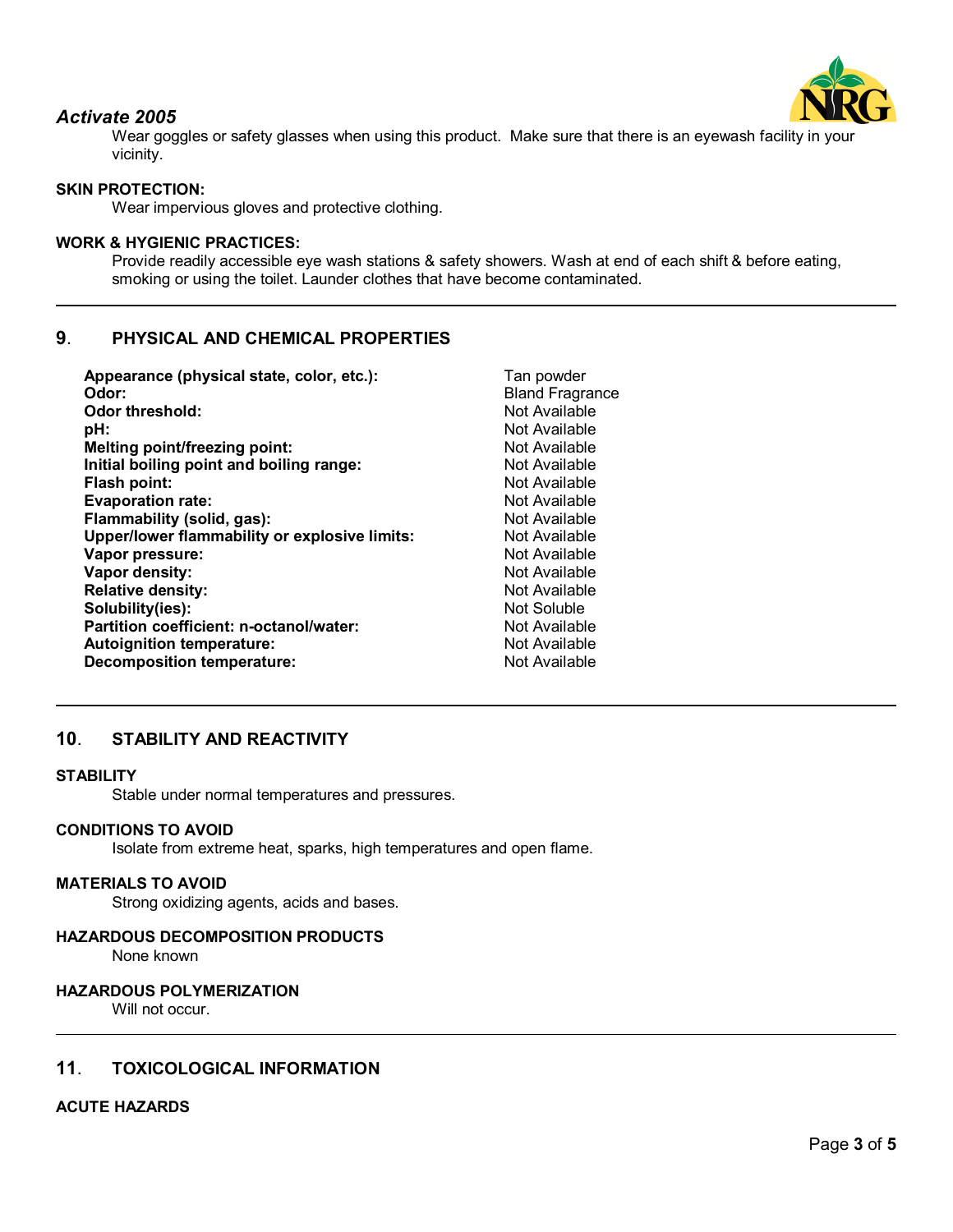

## *Activate 2005*

Wear goggles or safety glasses when using this product. Make sure that there is an eyewash facility in your vicinity.

## **SKIN PROTECTION:**

Wear impervious gloves and protective clothing.

### **WORK & HYGIENIC PRACTICES:**

Provide readily accessible eye wash stations & safety showers. Wash at end of each shift & before eating, smoking or using the toilet. Launder clothes that have become contaminated.

## **9**. **PHYSICAL AND CHEMICAL PROPERTIES**

| Appearance (physical state, color, etc.):     | Tan powder             |
|-----------------------------------------------|------------------------|
| Odor:                                         | <b>Bland Fragrance</b> |
| <b>Odor threshold:</b>                        | Not Available          |
| pH:                                           | Not Available          |
| Melting point/freezing point:                 | Not Available          |
| Initial boiling point and boiling range:      | Not Available          |
| Flash point:                                  | Not Available          |
| <b>Evaporation rate:</b>                      | Not Available          |
| Flammability (solid, gas):                    | Not Available          |
| Upper/lower flammability or explosive limits: | Not Available          |
| Vapor pressure:                               | Not Available          |
| Vapor density:                                | Not Available          |
| <b>Relative density:</b>                      | Not Available          |
| Solubility(ies):                              | Not Soluble            |
| Partition coefficient: n-octanol/water:       | Not Available          |
| <b>Autoignition temperature:</b>              | Not Available          |
| <b>Decomposition temperature:</b>             | Not Available          |
|                                               |                        |

## **10**. **STABILITY AND REACTIVITY**

#### **STABILITY**

Stable under normal temperatures and pressures.

#### **CONDITIONS TO AVOID**

Isolate from extreme heat, sparks, high temperatures and open flame.

#### **MATERIALS TO AVOID**

Strong oxidizing agents, acids and bases.

#### **HAZARDOUS DECOMPOSITION PRODUCTS**

None known

#### **HAZARDOUS POLYMERIZATION**

Will not occur.

### **11**. **TOXICOLOGICAL INFORMATION**

#### **ACUTE HAZARDS**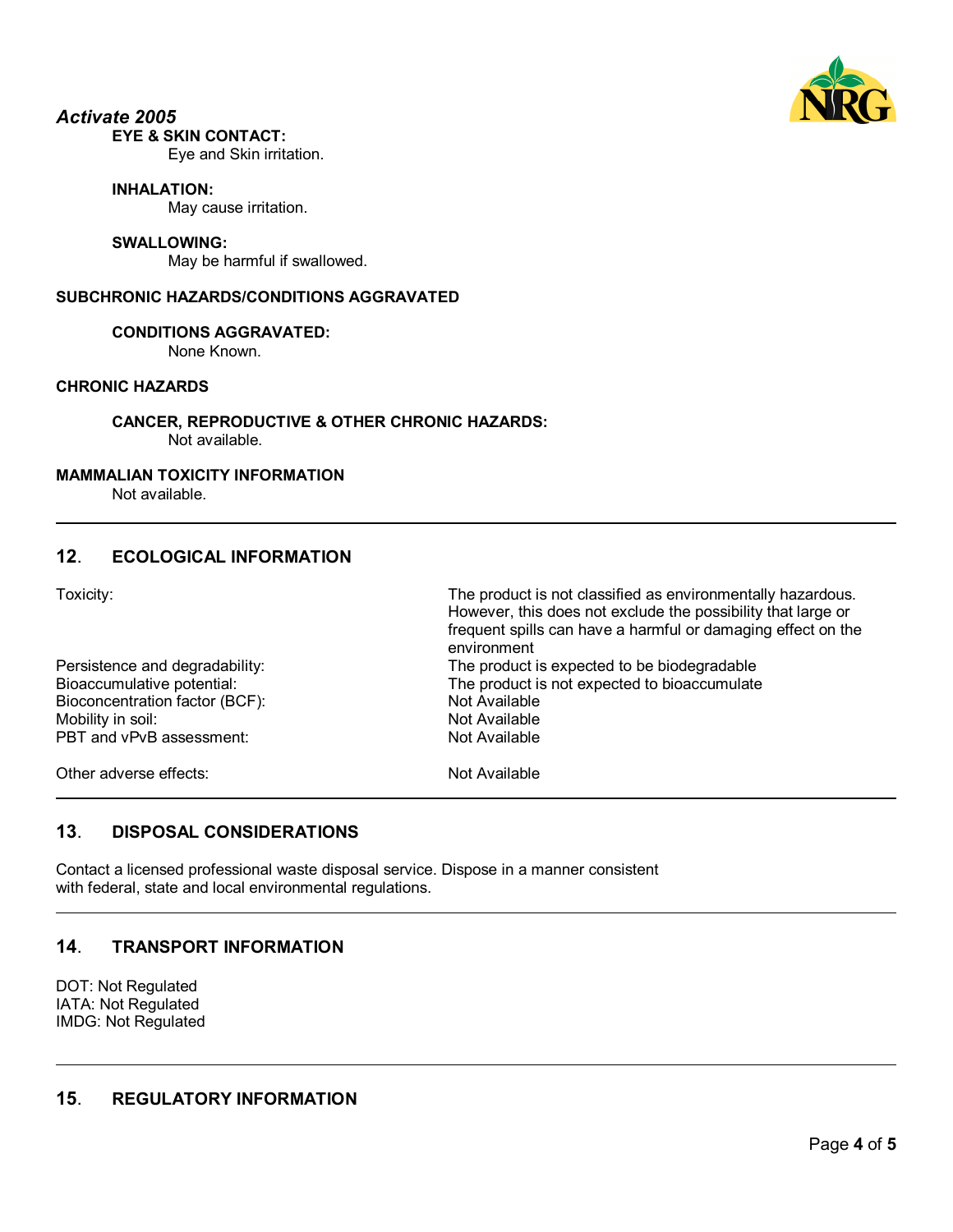

#### *Activate 2005* **EYE & SKIN CONTACT:**

Eye and Skin irritation.

### **INHALATION:**

May cause irritation.

### **SWALLOWING:**

May be harmful if swallowed.

### **SUBCHRONIC HAZARDS/CONDITIONS AGGRAVATED**

### **CONDITIONS AGGRAVATED:**

None Known.

## **CHRONIC HAZARDS**

**CANCER, REPRODUCTIVE & OTHER CHRONIC HAZARDS:** Not available.

### **MAMMALIAN TOXICITY INFORMATION**

Not available.

## **12**. **ECOLOGICAL INFORMATION**

Toxicity: The product is not classified as environmentally hazardous.

|                                | However, this does not exclude the possibility that large or<br>frequent spills can have a harmful or damaging effect on the<br>environment |
|--------------------------------|---------------------------------------------------------------------------------------------------------------------------------------------|
| Persistence and degradability: | The product is expected to be biodegradable                                                                                                 |
| Bioaccumulative potential:     | The product is not expected to bioaccumulate                                                                                                |
| Bioconcentration factor (BCF): | Not Available                                                                                                                               |
| Mobility in soil:              | Not Available                                                                                                                               |
| PBT and vPvB assessment:       | Not Available                                                                                                                               |
| Other adverse effects:         | Not Available                                                                                                                               |

## **13**. **DISPOSAL CONSIDERATIONS**

Contact a licensed professional waste disposal service. Dispose in a manner consistent with federal, state and local environmental regulations.

## **14**. **TRANSPORT INFORMATION**

DOT: Not Regulated IATA: Not Regulated IMDG: Not Regulated